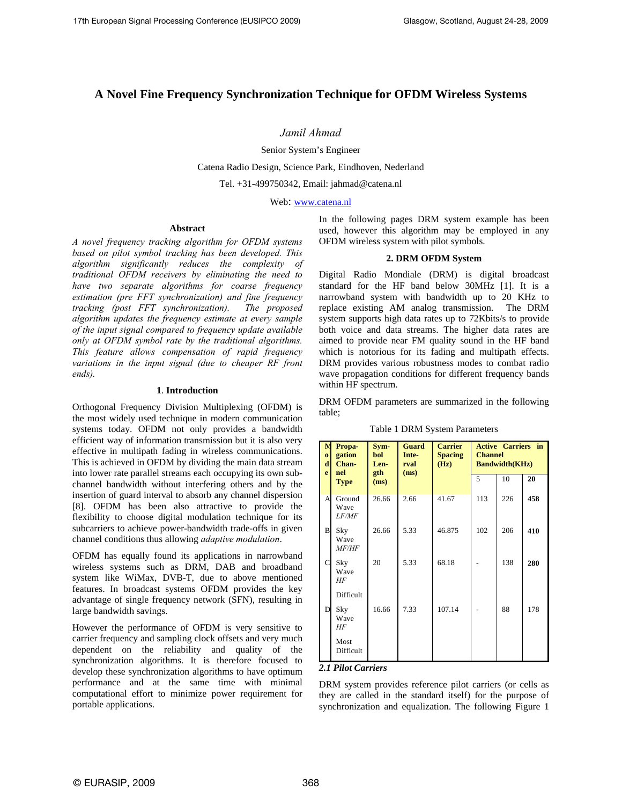# **A Novel Fine Frequency Synchronization Technique for OFDM Wireless Systems**

*Jamil Ahmad* 

Senior System's Engineer

Catena Radio Design, Science Park, Eindhoven, Nederland

Tel. +31-499750342, Email: jahmad@catena.nl

Web: www.catena.nl

# **Abstract**

*A novel frequency tracking algorithm for OFDM systems based on pilot symbol tracking has been developed. This algorithm significantly reduces the complexity of traditional OFDM receivers by eliminating the need to have two separate algorithms for coarse frequency estimation (pre FFT synchronization) and fine frequency tracking (post FFT synchronization). The proposed algorithm updates the frequency estimate at every sample of the input signal compared to frequency update available only at OFDM symbol rate by the traditional algorithms. This feature allows compensation of rapid frequency*  variations in the input signal (due to cheaper RF front *ends).*

# **1**. **Introduction**

Orthogonal Frequency Division Multiplexing (OFDM) is the most widely used technique in modern communication systems today. OFDM not only provides a bandwidth efficient way of information transmission but it is also very effective in multipath fading in wireless communications. This is achieved in OFDM by dividing the main data stream into lower rate parallel streams each occupying its own subchannel bandwidth without interfering others and by the insertion of guard interval to absorb any channel dispersion [8]. OFDM has been also attractive to provide the flexibility to choose digital modulation technique for its subcarriers to achieve power-bandwidth trade-offs in given channel conditions thus allowing *adaptive modulation*.

OFDM has equally found its applications in narrowband wireless systems such as DRM, DAB and broadband system like WiMax, DVB-T, due to above mentioned features. In broadcast systems OFDM provides the key advantage of single frequency network (SFN), resulting in large bandwidth savings.

However the performance of OFDM is very sensitive to carrier frequency and sampling clock offsets and very much dependent on the reliability and quality of the synchronization algorithms. It is therefore focused to develop these synchronization algorithms to have optimum performance and at the same time with minimal computational effort to minimize power requirement for portable applications.

In the following pages DRM system example has been used, however this algorithm may be employed in any OFDM wireless system with pilot symbols.

## **2. DRM OFDM System**

Digital Radio Mondiale (DRM) is digital broadcast standard for the HF band below 30MHz [1]. It is a narrowband system with bandwidth up to 20 KHz to replace existing AM analog transmission. The DRM system supports high data rates up to 72Kbits/s to provide both voice and data streams. The higher data rates are aimed to provide near FM quality sound in the HF band which is notorious for its fading and multipath effects. DRM provides various robustness modes to combat radio wave propagation conditions for different frequency bands within HF spectrum.

DRM OFDM parameters are summarized in the following table;

Table 1 DRM System Parameters

| M<br>$\bf{o}$<br>d<br>e | Propa-<br>gation<br>Chan-<br>nel<br><b>Type</b> | Sym-<br>bol<br>Len-<br>gth<br>(ms) | <b>Guard</b><br>Inte-<br>rval<br>(ms) | <b>Carrier</b><br><b>Spacing</b><br>(Hz) | <b>Active Carriers in</b><br><b>Channel</b><br><b>Bandwidth(KHz)</b> |     |     |
|-------------------------|-------------------------------------------------|------------------------------------|---------------------------------------|------------------------------------------|----------------------------------------------------------------------|-----|-----|
|                         |                                                 |                                    |                                       |                                          | 5                                                                    | 10  | 20  |
| A                       | Ground<br>Wave<br><i>LF/MF</i>                  | 26.66                              | 2.66                                  | 41.67                                    | 113                                                                  | 226 | 458 |
| B                       | Sky<br>Wave<br><i>MF/HF</i>                     | 26.66                              | 5.33                                  | 46.875                                   | 102                                                                  | 206 | 410 |
| C                       | Sky<br>Wave<br>HF                               | 20                                 | 5.33                                  | 68.18                                    |                                                                      | 138 | 280 |
|                         | Difficult                                       |                                    |                                       |                                          |                                                                      |     |     |
| D                       | Sky<br>Wave<br>HF                               | 16.66                              | 7.33                                  | 107.14                                   |                                                                      | 88  | 178 |
|                         | Most<br>Difficult                               |                                    |                                       |                                          |                                                                      |     |     |

## *2.1 Pilot Carriers*

DRM system provides reference pilot carriers (or cells as they are called in the standard itself) for the purpose of synchronization and equalization. The following Figure 1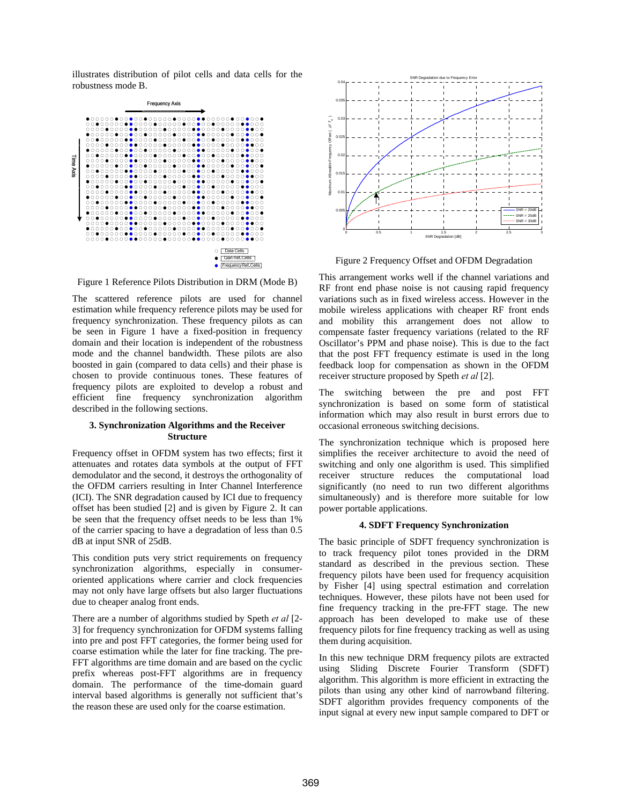illustrates distribution of pilot cells and data cells for the robustness mode B.



Figure 1 Reference Pilots Distribution in DRM (Mode B)

The scattered reference pilots are used for channel estimation while frequency reference pilots may be used for frequency synchronization. These frequency pilots as can be seen in Figure 1 have a fixed-position in frequency domain and their location is independent of the robustness mode and the channel bandwidth. These pilots are also boosted in gain (compared to data cells) and their phase is chosen to provide continuous tones. These features of frequency pilots are exploited to develop a robust and efficient fine frequency synchronization algorithm described in the following sections.

# **3. Synchronization Algorithms and the Receiver Structure**

Frequency offset in OFDM system has two effects; first it attenuates and rotates data symbols at the output of FFT demodulator and the second, it destroys the orthogonality of the OFDM carriers resulting in Inter Channel Interference (ICI). The SNR degradation caused by ICI due to frequency offset has been studied [2] and is given by Figure 2. It can be seen that the frequency offset needs to be less than 1% of the carrier spacing to have a degradation of less than 0.5 dB at input SNR of 25dB.

This condition puts very strict requirements on frequency synchronization algorithms, especially in consumeroriented applications where carrier and clock frequencies may not only have large offsets but also larger fluctuations due to cheaper analog front ends.

There are a number of algorithms studied by Speth *et al* [2- 3] for frequency synchronization for OFDM systems falling into pre and post FFT categories, the former being used for coarse estimation while the later for fine tracking. The pre-FFT algorithms are time domain and are based on the cyclic prefix whereas post-FFT algorithms are in frequency domain. The performance of the time-domain guard interval based algorithms is generally not sufficient that's the reason these are used only for the coarse estimation.



Figure 2 Frequency Offset and OFDM Degradation

This arrangement works well if the channel variations and RF front end phase noise is not causing rapid frequency variations such as in fixed wireless access. However in the mobile wireless applications with cheaper RF front ends and mobility this arrangement does not allow to compensate faster frequency variations (related to the RF Oscillator's PPM and phase noise). This is due to the fact that the post FFT frequency estimate is used in the long feedback loop for compensation as shown in the OFDM receiver structure proposed by Speth *et al* [2].

The switching between the pre and post FFT synchronization is based on some form of statistical information which may also result in burst errors due to occasional erroneous switching decisions.

The synchronization technique which is proposed here simplifies the receiver architecture to avoid the need of switching and only one algorithm is used. This simplified receiver structure reduces the computational load significantly (no need to run two different algorithms simultaneously) and is therefore more suitable for low power portable applications.

#### **4. SDFT Frequency Synchronization**

The basic principle of SDFT frequency synchronization is to track frequency pilot tones provided in the DRM standard as described in the previous section. These frequency pilots have been used for frequency acquisition by Fisher [4] using spectral estimation and correlation techniques. However, these pilots have not been used for fine frequency tracking in the pre-FFT stage. The new approach has been developed to make use of these frequency pilots for fine frequency tracking as well as using them during acquisition.

In this new technique DRM frequency pilots are extracted using Sliding Discrete Fourier Transform (SDFT) algorithm. This algorithm is more efficient in extracting the pilots than using any other kind of narrowband filtering. SDFT algorithm provides frequency components of the input signal at every new input sample compared to DFT or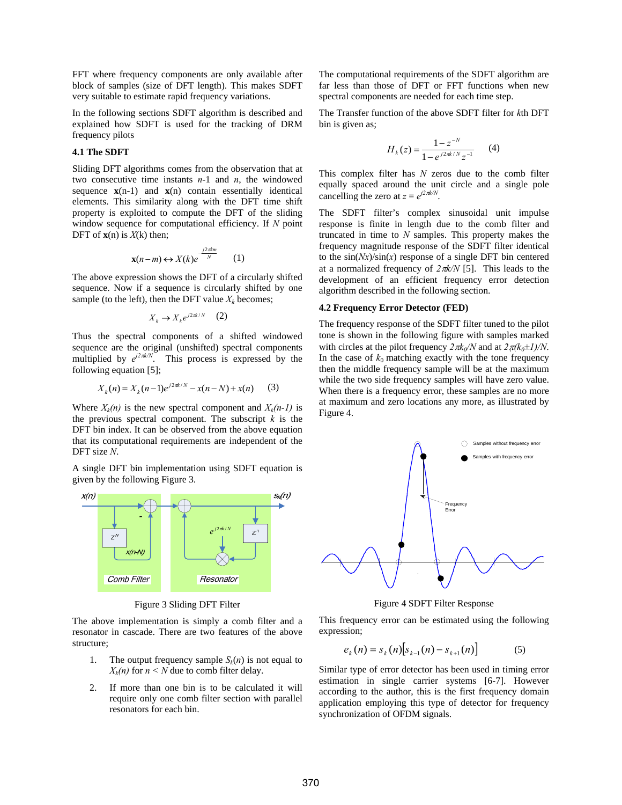FFT where frequency components are only available after block of samples (size of DFT length). This makes SDFT very suitable to estimate rapid frequency variations.

In the following sections SDFT algorithm is described and explained how SDFT is used for the tracking of DRM frequency pilots

# **4.1 The SDFT**

Sliding DFT algorithms comes from the observation that at two consecutive time instants *n*-1 and *n*, the windowed sequence  $\mathbf{x}(n-1)$  and  $\mathbf{x}(n)$  contain essentially identical elements. This similarity along with the DFT time shift property is exploited to compute the DFT of the sliding window sequence for computational efficiency. If *N* point DFT of  $\mathbf{x}(n)$  is  $X(k)$  then;

$$
\mathbf{x}(n-m) \leftrightarrow X(k)e^{-\frac{j2\pi km}{N}} \qquad (1)
$$

The above expression shows the DFT of a circularly shifted sequence. Now if a sequence is circularly shifted by one sample (to the left), then the DFT value  $X_k$  becomes;

$$
X_k \to X_k e^{j2\pi k/N} \quad (2)
$$

Thus the spectral components of a shifted windowed sequence are the original (unshifted) spectral components multiplied by  $e^{j2\pi k/N}$ . This process is expressed by the following equation [5];

$$
X_k(n) = X_k(n-1)e^{j2\pi k/N} - x(n-N) + x(n)
$$
 (3)

Where  $X_k(n)$  is the new spectral component and  $X_k(n-1)$  is the previous spectral component. The subscript  $k$  is the DFT bin index. It can be observed from the above equation that its computational requirements are independent of the DFT size *N*.

A single DFT bin implementation using SDFT equation is given by the following Figure 3.



Figure 3 Sliding DFT Filter

The above implementation is simply a comb filter and a resonator in cascade. There are two features of the above structure;

- 1. The output frequency sample  $S_k(n)$  is not equal to  $X_k(n)$  for  $n \leq N$  due to comb filter delay.
- 2. If more than one bin is to be calculated it will require only one comb filter section with parallel resonators for each bin.

The computational requirements of the SDFT algorithm are far less than those of DFT or FFT functions when new spectral components are needed for each time step.

The Transfer function of the above SDFT filter for *k*th DFT bin is given as;

$$
H_k(z) = \frac{1 - z^{-N}}{1 - e^{j2\pi k/N} z^{-1}} \qquad (4)
$$

This complex filter has *N* zeros due to the comb filter equally spaced around the unit circle and a single pole cancelling the zero at  $z = e^{j2\pi k/N}$ .

The SDFT filter's complex sinusoidal unit impulse response is finite in length due to the comb filter and truncated in time to *N* samples. This property makes the frequency magnitude response of the SDFT filter identical to the  $sin(Nx)/sin(x)$  response of a single DFT bin centered at a normalized frequency of *2*π*k/N* [5]. This leads to the development of an efficient frequency error detection algorithm described in the following section.

#### **4.2 Frequency Error Detector (FED)**

The frequency response of the SDFT filter tuned to the pilot tone is shown in the following figure with samples marked with circles at the pilot frequency  $2 \pi k_0/N$  and at  $2 \pi (k_0 \pm 1)/N$ . In the case of  $k_0$  matching exactly with the tone frequency then the middle frequency sample will be at the maximum while the two side frequency samples will have zero value. When there is a frequency error, these samples are no more at maximum and zero locations any more, as illustrated by Figure 4.



Figure 4 SDFT Filter Response

This frequency error can be estimated using the following expression;

$$
e_k(n) = s_k(n) \big[ s_{k-1}(n) - s_{k+1}(n) \big] \tag{5}
$$

Similar type of error detector has been used in timing error estimation in single carrier systems [6-7]. However according to the author, this is the first frequency domain application employing this type of detector for frequency synchronization of OFDM signals.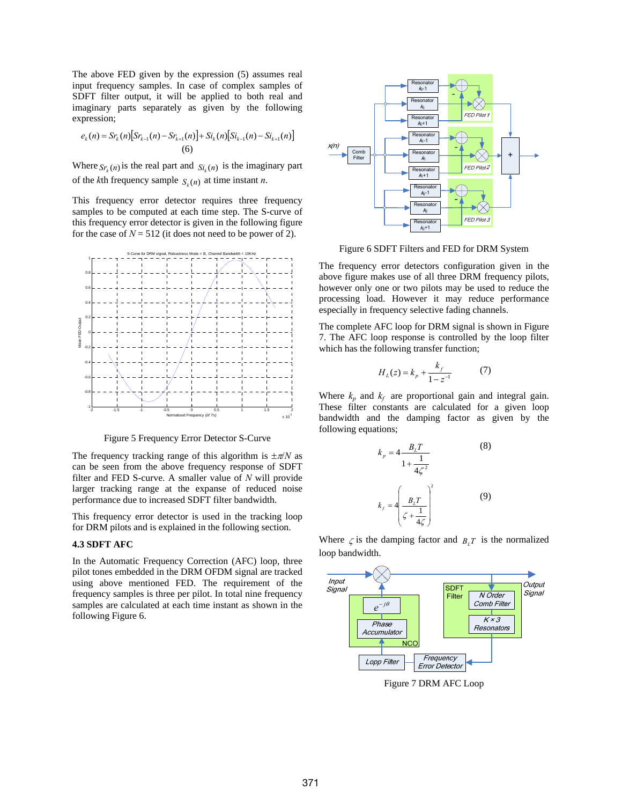The above FED given by the expression (5) assumes real input frequency samples. In case of complex samples of SDFT filter output, it will be applied to both real and imaginary parts separately as given by the following expression;

$$
e_{k}(n) = Sr_{k}(n)[Sr_{k-1}(n) - Sr_{k+1}(n)] + Si_{k}(n)[Si_{k-1}(n) - Si_{k+1}(n)]
$$
  
(6)

Where  $S_{r_k}(n)$  is the real part and  $S_{i_k}(n)$  is the imaginary part of the *k*th frequency sample  $S_n(n)$  at time instant *n*.

This frequency error detector requires three frequency samples to be computed at each time step. The S-curve of this frequency error detector is given in the following figure for the case of  $N = 512$  (it does not need to be power of 2).



Figure 5 Frequency Error Detector S-Curve

The frequency tracking range of this algorithm is  $\pm \pi/N$  as can be seen from the above frequency response of SDFT filter and FED S-curve. A smaller value of *N* will provide larger tracking range at the expanse of reduced noise performance due to increased SDFT filter bandwidth.

This frequency error detector is used in the tracking loop for DRM pilots and is explained in the following section.

#### **4.3 SDFT AFC**

In the Automatic Frequency Correction (AFC) loop, three pilot tones embedded in the DRM OFDM signal are tracked using above mentioned FED. The requirement of the frequency samples is three per pilot. In total nine frequency samples are calculated at each time instant as shown in the following Figure 6.



Figure 6 SDFT Filters and FED for DRM System

The frequency error detectors configuration given in the above figure makes use of all three DRM frequency pilots, however only one or two pilots may be used to reduce the processing load. However it may reduce performance especially in frequency selective fading channels.

The complete AFC loop for DRM signal is shown in Figure 7. The AFC loop response is controlled by the loop filter which has the following transfer function;

$$
H_L(z) = k_p + \frac{k_f}{1 - z^{-1}} \tag{7}
$$

Where  $k_p$  and  $k_f$  are proportional gain and integral gain. These filter constants are calculated for a given loop bandwidth and the damping factor as given by the following equations;

$$
k_p = 4 \frac{B_L T}{1 + \frac{1}{4\zeta^2}}
$$
\n
$$
k_f = 4 \left(\frac{B_L T}{\zeta + \frac{1}{4\zeta}}\right)^2
$$
\n(9)

Where  $\zeta$  is the damping factor and  $B_{\iota}T$  is the normalized loop bandwidth.



Figure 7 DRM AFC Loop